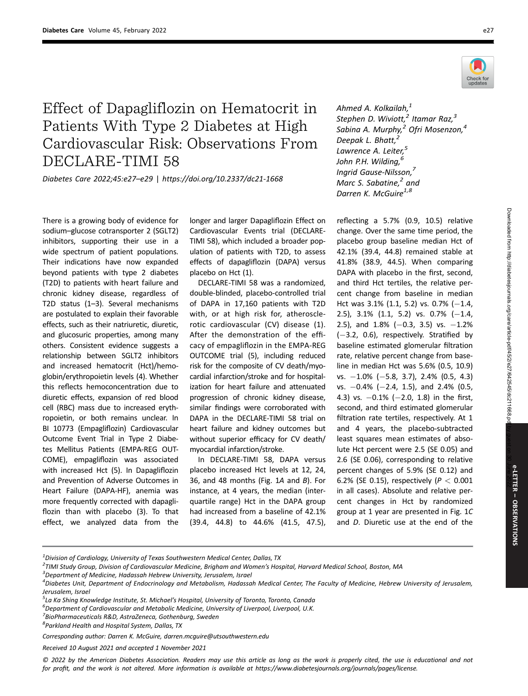



## Effect of Dapagliflozin on Hematocrit in Patients With Type 2 Diabetes at High Cardiovascular Risk: Observations From DECLARE-TIMI 58

Diabetes Care 2022;45:e27–e29 | https://doi.org/10.2337/dc21-1668

There is a growing body of evidence for sodium–glucose cotransporter 2 (SGLT2) inhibitors, supporting their use in a wide spectrum of patient populations. Their indications have now expanded beyond patients with type 2 diabetes (T2D) to patients with heart failure and chronic kidney disease, regardless of T2D status (1–3). Several mechanisms are postulated to explain their favorable effects, such as their natriuretic, diuretic, and glucosuric properties, among many others. Consistent evidence suggests a relationship between SGLT2 inhibitors and increased hematocrit (Hct)/hemoglobin/erythropoietin levels (4). Whether this reflects hemoconcentration due to diuretic effects, expansion of red blood cell (RBC) mass due to increased erythropoietin, or both remains unclear. In BI 10773 (Empagliflozin) Cardiovascular Outcome Event Trial in Type 2 Diabetes Mellitus Patients (EMPA-REG OUT-COME), empagliflozin was associated with increased Hct (5). In Dapagliflozin and Prevention of Adverse Outcomes in Heart Failure (DAPA-HF), anemia was more frequently corrected with dapagliflozin than with placebo (3). To that effect, we analyzed data from the longer and larger Dapagliflozin Effect on Cardiovascular Events trial (DECLARE-TIMI 58), which included a broader population of patients with T2D, to assess effects of dapagliflozin (DAPA) versus placebo on Hct (1).

DECLARE-TIMI 58 was a randomized, double-blinded, placebo-controlled trial of DAPA in 17,160 patients with T2D with, or at high risk for, atherosclerotic cardiovascular (CV) disease (1). After the demonstration of the efficacy of empagliflozin in the EMPA-REG OUTCOME trial (5), including reduced risk for the composite of CV death/myocardial infarction/stroke and for hospitalization for heart failure and attenuated progression of chronic kidney disease, similar findings were corroborated with DAPA in the DECLARE-TIMI 58 trial on heart failure and kidney outcomes but without superior efficacy for CV death/ myocardial infarction/stroke.

In DECLARE-TIMI 58, DAPA versus placebo increased Hct levels at 12, 24, 36, and 48 months (Fig. 1A and B). For instance, at 4 years, the median (interquartile range) Hct in the DAPA group had increased from a baseline of 42.1% (39.4, 44.8) to 44.6% (41.5, 47.5),

Ahmed A. Kolkailah,<sup>1</sup> Stephen D. Wiviott, $^2$  Itamar Raz, $^3$ Sabina A. Murphy, $^2$  Ofri Mosenzon, $^4$ Deepak L. Bhatt, Lawrence A. Leiter,<sup>5</sup> John P.H. Wilding,<sup>6</sup> Ingrid Gause-Nilsson,7 Marc S. Sabatine, $^2$  and Darren K. McGuire $^{1,8}$ 

reflecting a 5.7% (0.9, 10.5) relative change. Over the same time period, the placebo group baseline median Hct of 42.1% (39.4, 44.8) remained stable at 41.8% (38.9, 44.5). When comparing DAPA with placebo in the first, second, and third Hct tertiles, the relative percent change from baseline in median Hct was  $3.1\%$  (1.1, 5.2) vs. 0.7% (-1.4, 2.5), 3.1%  $(1.1, 5.2)$  vs. 0.7%  $(-1.4,$ 2.5), and  $1.8\%$  (-0.3, 3.5) vs.  $-1.2\%$  $(-3.2, 0.6)$ , respectively. Stratified by baseline estimated glomerular filtration rate, relative percent change from baseline in median Hct was 5.6% (0.5, 10.9) vs.  $-1.0\%$  ( $-5.8$ , 3.7), 2.4% (0.5, 4.3) vs.  $-0.4\%$  ( $-2.4$ , 1.5), and 2.4% (0.5, 4.3) vs.  $-0.1\%$  ( $-2.0$ , 1.8) in the first, second, and third estimated glomerular filtration rate tertiles, respectively. At 1 and 4 years, the placebo-subtracted least squares mean estimates of absolute Hct percent were 2.5 (SE 0.05) and 2.6 (SE 0.06), corresponding to relative percent changes of 5.9% (SE 0.12) and 6.2% (SE 0.15), respectively ( $P < 0.001$ in all cases). Absolute and relative percent changes in Hct by randomized group at 1 year are presented in Fig. 1C and D. Diuretic use at the end of the

 ${}^{3}$ Department of Medicine, Hadassah Hebrew University, Jerusalem, Israel

- $^6$ Department of Cardiovascular and Metabolic Medicine, University of Liverpool, Liverpool, U.K.
- <sup>7</sup> BioPharmaceuticals R&D, AstraZeneca, Gothenburg, Sweden

8 Parkland Health and Hospital System, Dallas, TX

Received 10 August 2021 and accepted 1 November 2021

 $^{\rm 1}$ Division of Cardiology, University of Texas Southwestern Medical Center, Dallas, TX

<sup>&</sup>lt;sup>2</sup>TIMI Study Group, Division of Cardiovascular Medicine, Brigham and Women's Hospital, Harvard Medical School, Boston, MA<br><sup>3</sup>Denastment of Medicine, Hadascab Hebrow University, Jerusalem, Israel

<sup>4</sup> Diabetes Unit, Department of Endocrinology and Metabolism, Hadassah Medical Center, The Faculty of Medicine, Hebrew University of Jerusalem, Jerusalem, Israel

<sup>&</sup>lt;sup>5</sup>La Ka Shing Knowledge Institute, St. Michael's Hospital, University of Toronto, Toronto, Canada<br><sup>6</sup>Denastment of Cardiouaccular and Motobolic Modicine, University of Liverpool, Unerpool, U.V.

Corresponding author: Darren K. McGuire, [darren.mcguire@utsouthwestern.edu](mailto:darren.mcguire@utsouthwestern.edu)

<sup>© 2022</sup> by the American Diabetes Association. Readers may use this article as long as the work is properly cited, the use is educational and not for profit, and the work is not altered. More information is available at<https://www.diabetesjournals.org/journals/pages/license>.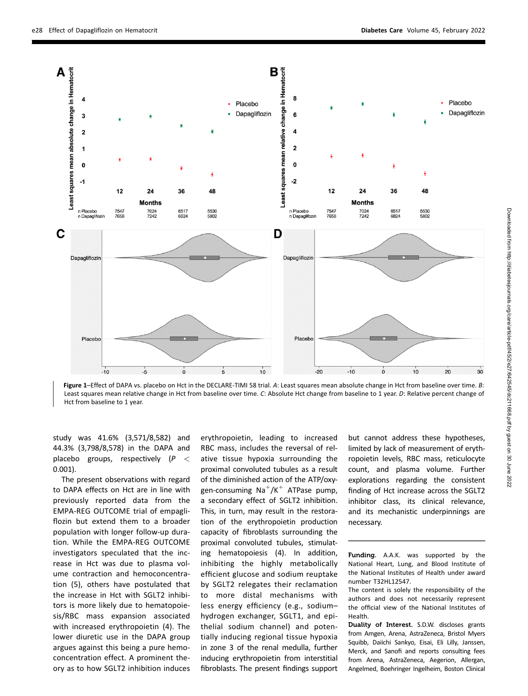

Figure 1–Effect of DAPA vs. placebo on Hct in the DECLARE-TIMI 58 trial. A: Least squares mean absolute change in Hct from baseline over time. B: Least squares mean relative change in Hct from baseline over time. C: Absolute Hct change from baseline to 1 year. D: Relative percent change of Hct from baseline to 1 year.

study was 41.6% (3,571/8,582) and 44.3% (3,798/8,578) in the DAPA and placebo groups, respectively  $(P <$ 0.001).

The present observations with regard to DAPA effects on Hct are in line with previously reported data from the EMPA-REG OUTCOME trial of empagliflozin but extend them to a broader population with longer follow-up duration. While the EMPA-REG OUTCOME investigators speculated that the increase in Hct was due to plasma volume contraction and hemoconcentration (5), others have postulated that the increase in Hct with SGLT2 inhibitors is more likely due to hematopoiesis/RBC mass expansion associated with increased erythropoietin (4). The lower diuretic use in the DAPA group argues against this being a pure hemoconcentration effect. A prominent theory as to how SGLT2 inhibition induces

erythropoietin, leading to increased RBC mass, includes the reversal of relative tissue hypoxia surrounding the proximal convoluted tubules as a result of the diminished action of the ATP/oxygen-consuming  $Na^{+}/K^{+}$  ATPase pump, a secondary effect of SGLT2 inhibition. This, in turn, may result in the restoration of the erythropoietin production capacity of fibroblasts surrounding the proximal convoluted tubules, stimulating hematopoiesis (4). In addition, inhibiting the highly metabolically efficient glucose and sodium reuptake by SGLT2 relegates their reclamation to more distal mechanisms with less energy efficiency (e.g., sodium– hydrogen exchanger, SGLT1, and epithelial sodium channel) and potentially inducing regional tissue hypoxia in zone 3 of the renal medulla, further inducing erythropoietin from interstitial fibroblasts. The present findings support

but cannot address these hypotheses, limited by lack of measurement of erythropoietin levels, RBC mass, reticulocyte count, and plasma volume. Further explorations regarding the consistent finding of Hct increase across the SGLT2 inhibitor class, its clinical relevance, and its mechanistic underpinnings are necessary.

Funding. A.A.K. was supported by the National Heart, Lung, and Blood Institute of the National Institutes of Health under award number T32HL12547.

The content is solely the responsibility of the authors and does not necessarily represent the official view of the National Institutes of Health.

Duality of Interest. S.D.W. discloses grants from Amgen, Arena, AstraZeneca, Bristol Myers Squibb, Daiichi Sankyo, Eisai, Eli Lilly, Janssen, Merck, and Sanofi and reports consulting fees from Arena, AstraZeneca, Aegerion, Allergan, Angelmed, Boehringer Ingelheim, Boston Clinical